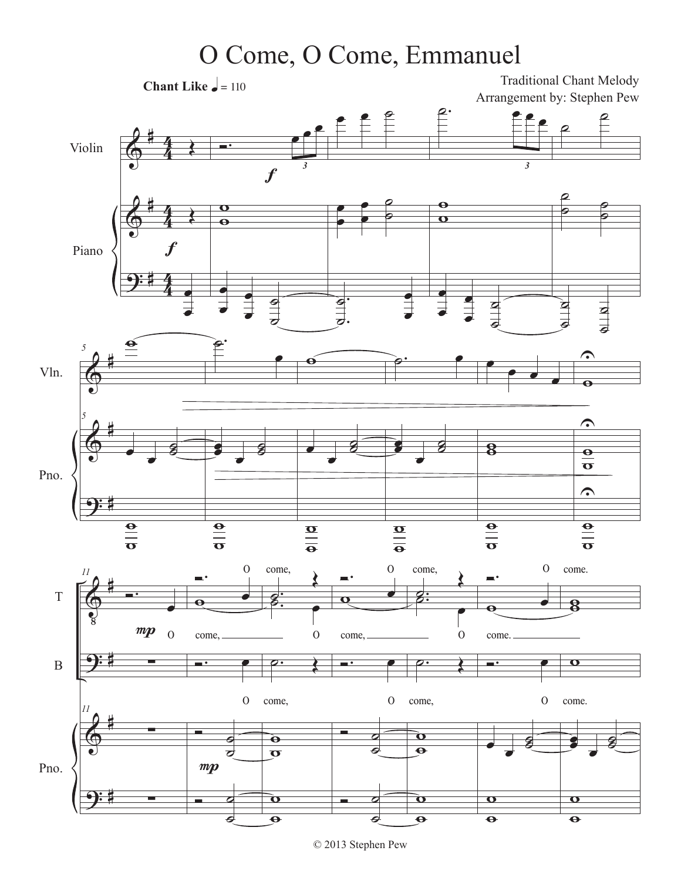

© 2013 Stephen Pew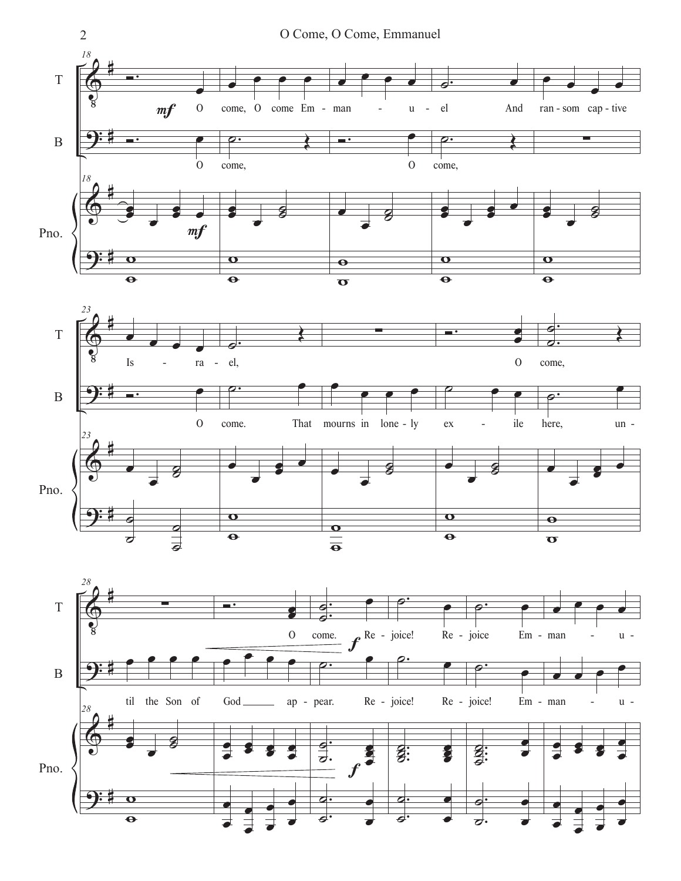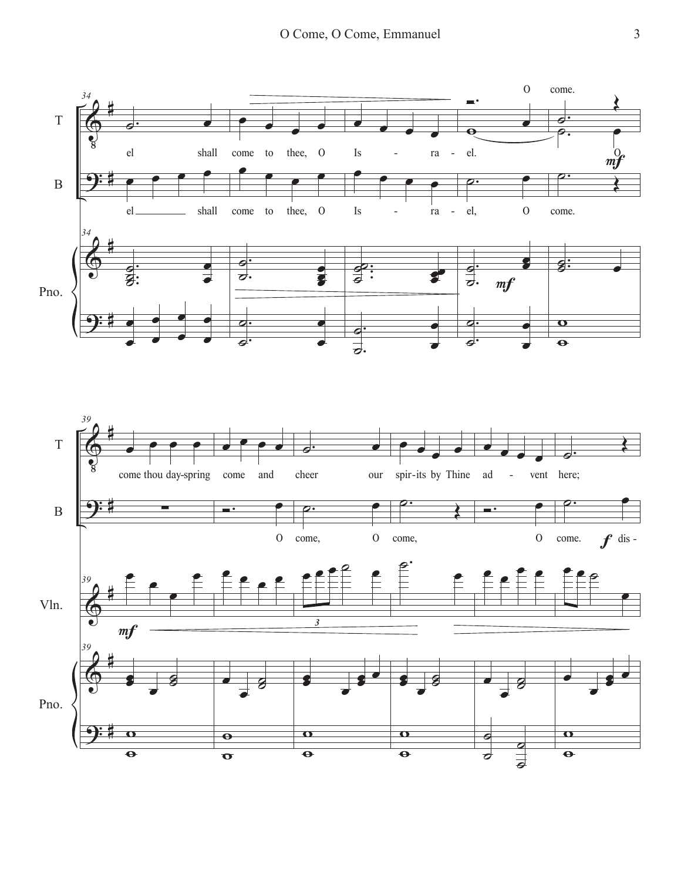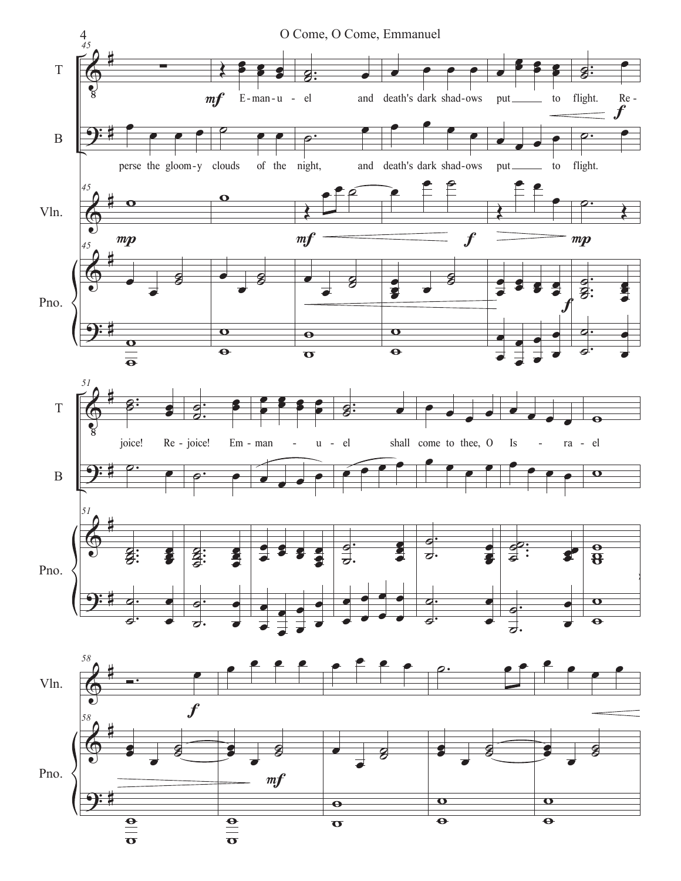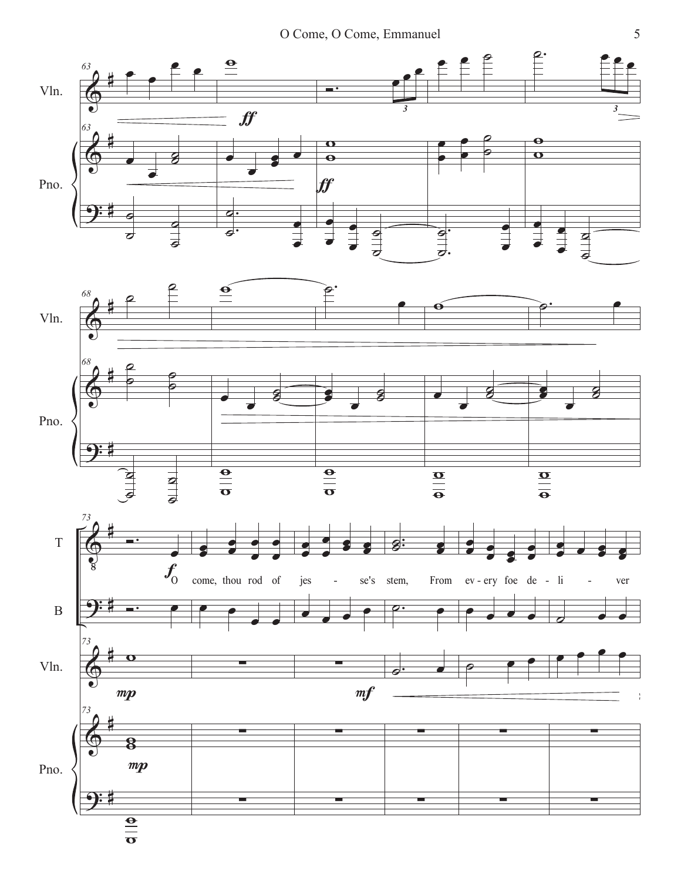O Come, O Come, Emmanuel 5

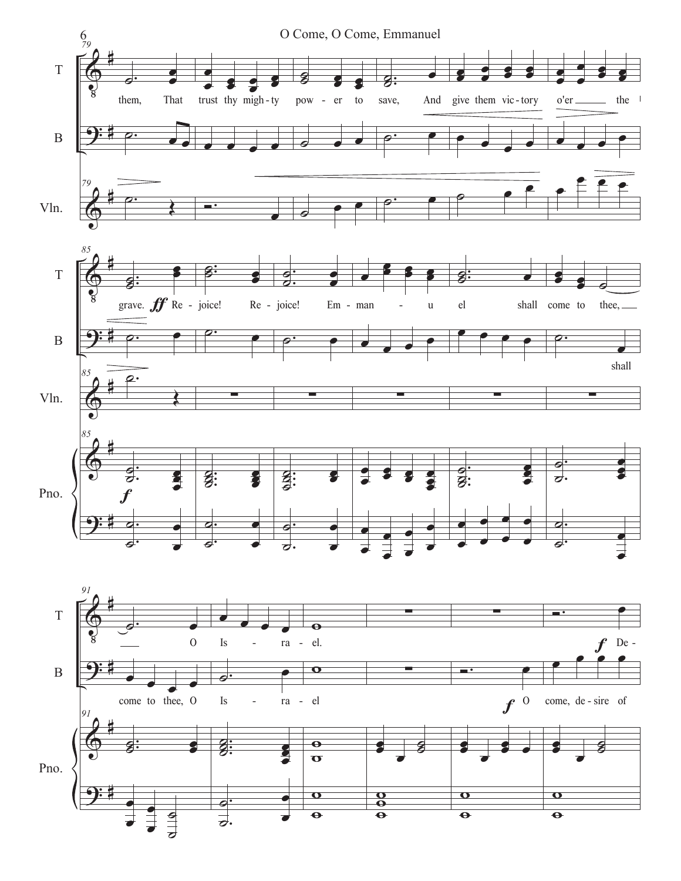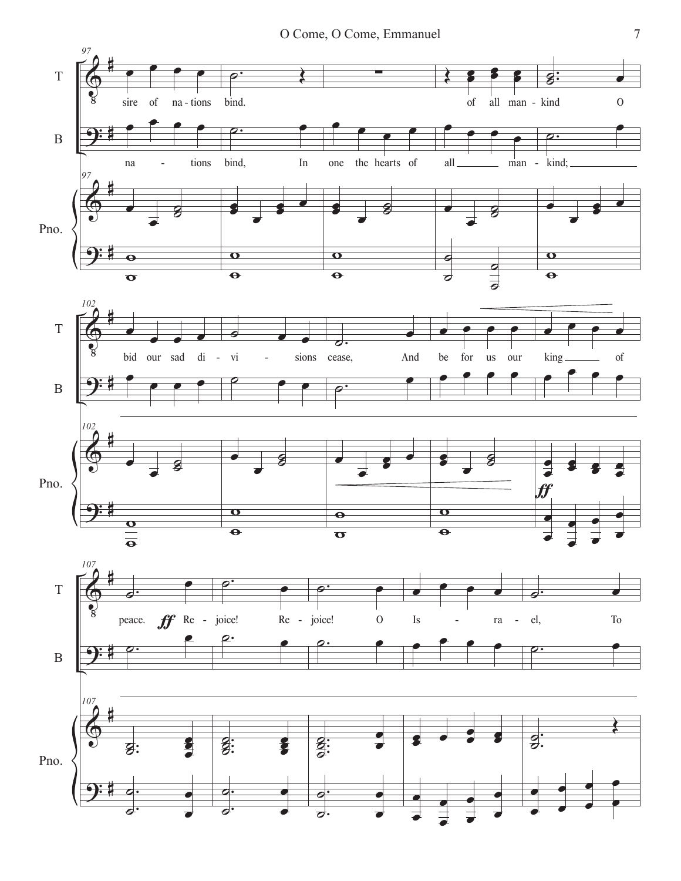